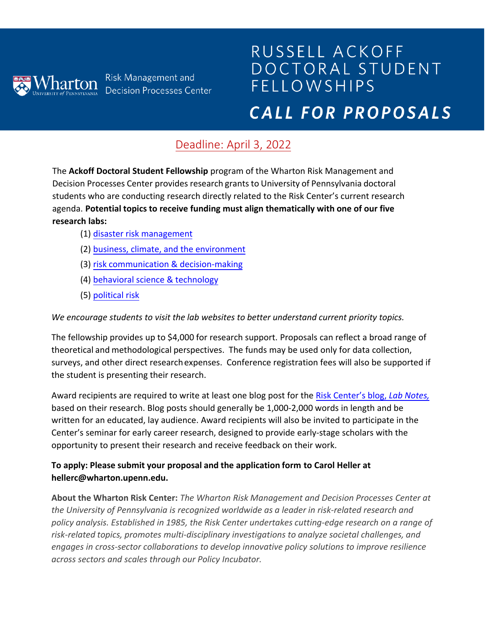

# RUSSELL ACKOFF DOCTORAL STUDENT **FELLOWSHIPS** CALL FOR PROPOSALS

## Deadline: April 3, 2022

The **Ackoff Doctoral Student Fellowship** program of the Wharton Risk Management and Decision Processes Center provides research grants to University of Pennsylvania doctoral students who are conducting research directly related to the Risk Center's current research agenda. **Potential topics to receive funding must align thematically with one of our five research labs:** 

- (1) [disaster risk management](https://riskcenter.wharton.upenn.edu/labs/disaster-risk-management-lab/)
- (2) [business, climate, and the environment](https://riskcenter.wharton.upenn.edu/business-climate-and-environment-lab/)
- (3) [risk communication & decision-making](https://riskcenter.wharton.upenn.edu/labs/risk-communication-and-decision-making-lab/)
- (4) [behavioral science & technology](https://riskcenter.wharton.upenn.edu/behavioral-science-technology/)
- (5) [political risk](https://riskcenter.wharton.upenn.edu/political-risk-lab/)

*We encourage students to visit the lab websites to better understand current priority topics.* 

The fellowship provides up to \$4,000 for research support. Proposals can reflect a broad range of theoretical and methodological perspectives. The funds may be used only for data collection, surveys, and other direct research expenses. Conference registration fees will also be supported if the student is presenting their research.

Award recipients are required to write at least one blog post for the Risk Center's blog, *Lab Notes,* based on their research. Blog posts should generally be 1,000-2,000 words in length and be written for an educated, lay audience. Award recipients will also be [invited to participate in the](https://riskcenter.wharton.upenn.edu/lab-notes/)  [Center](https://riskcenter.wharton.upenn.edu/lab-notes/)'s seminar for early career research, designed to provide early-stage scholars with the opportunity to present their research and receive feedback on their work.

#### **To apply: Please submit your proposal and the application form to Carol Heller at hellerc@wharton.upenn.edu.**

**About the Wharton Risk Center:** *The Wharton Risk Management and Decision Processes Center at the University of Pennsylvania is recognized worldwide as a leader in risk-related research and policy analysis. Established in 1985, the Risk Center undertakes cutting-edge research on a range of risk-related topics, promotes multi-disciplinary investigations to analyze societal challenges, and engages in cross-sector collaborations to develop innovative policy solutions to improve resilience across sectors and scales through our Policy Incubator.*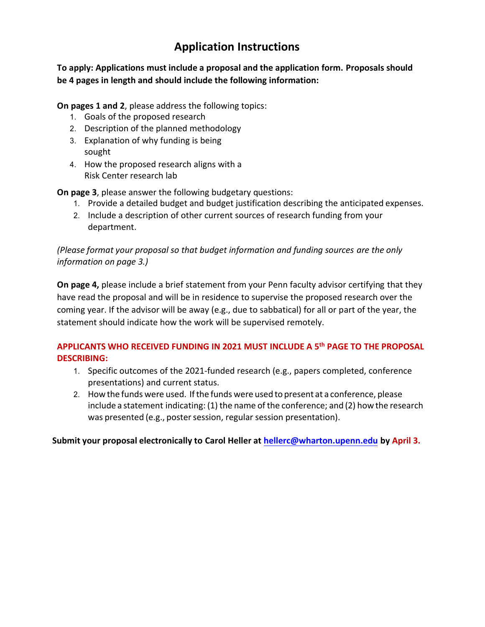### **Application Instructions**

**To apply: Applications must include a proposal and the application form. Proposals should be 4 pages in length and should include the following information:**

**On pages 1 and 2**, please address the following topics:

- 1. Goals of the proposed research
- 2. Description of the planned methodology
- 3. Explanation of why funding is being sought
- 4. How the proposed research aligns with a Risk Center research lab

**On page 3**, please answer the following budgetary questions:

- 1. Provide a detailed budget and budget justification describing the anticipated expenses.
- 2. Include a description of other current sources of research funding from your department.

*(Please format your proposal so that budget information and funding sources are the only information on page 3.)* 

**On page 4,** please include a brief statement from your Penn faculty advisor certifying that they have read the proposal and will be in residence to supervise the proposed research over the coming year. If the advisor will be away (e.g., due to sabbatical) for all or part of the year, the statement should indicate how the work will be supervised remotely.

#### **APPLICANTS WHO RECEIVED FUNDING IN 2021 MUST INCLUDE A 5th PAGE TO THE PROPOSAL DESCRIBING:**

- 1. Specific outcomes of the 2021-funded research (e.g., papers completed, conference presentations) and current status.
- 2. How the funds were used. Ifthe funds were used to present at a conference, please include a statement indicating: (1) the name of the conference; and (2) how the research was presented (e.g., poster session, regular s[ession presentation\).](mailto:hellerc@wharton.upenn.edu)

**Submit your proposal electronically to Carol Heller at hellerc@wharton.upenn.edu by April 3.**